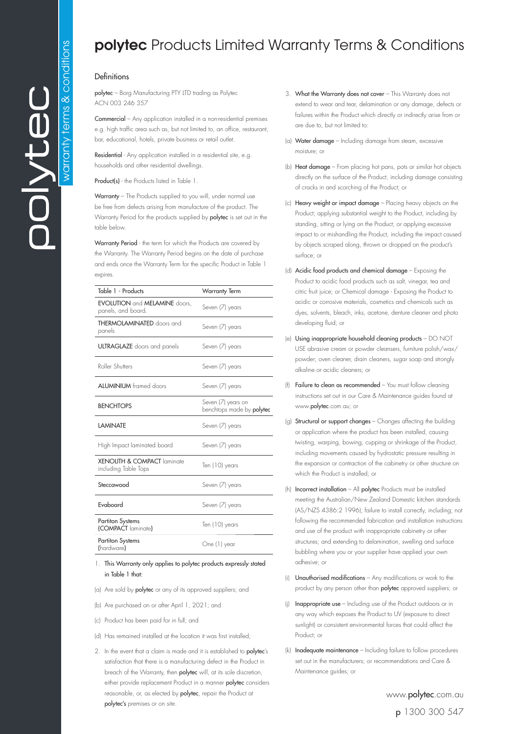## **polytec** Products Limited Warranty Terms & Conditions

## Definitions

polytec – Borg Manufacturing PTY LTD trading as Polytec ACN 003 246 357

Commercial – Any application installed in a non-residential premises e.g. high traffic area such as, but not limited to, an office, restaurant, bar, educational, hotels, private business or retail outlet.

Residential - Any application installed in a residential site, e.g. households and other residential dwellings.

Product(s) - the Products listed in Table 1.

Warranty - The Products supplied to you will, under normal use be free from defects arising from manufacture of the product. The Warranty Period for the products supplied by **polytec** is set out in the table below.

Warranty Period - the term for which the Products are covered by the Warranty. The Warranty Period begins on the date of purchase and ends once the Warranty Term for the specific Product in Table 1 expires.

| Table 1 - Products                                                | Warranty Term                                          |
|-------------------------------------------------------------------|--------------------------------------------------------|
| <b>EVOLUTION</b> and <b>MELAMINE</b> doors,<br>panels, and board. | Seven (7) years                                        |
| <b>THERMOLAMINATED</b> doors and<br>panels                        | Seven (7) years                                        |
| <b>ULTRAGLAZE</b> doors and panels                                | Seven (7) years                                        |
| Roller Shutters                                                   | Seven (7) years                                        |
| <b>ALUMINIUM</b> framed doors                                     | Seven (7) years                                        |
| <b>BENCHTOPS</b>                                                  | Seven (7) years on<br>benchtops made by <b>polytec</b> |
| <b>LAMINATE</b>                                                   | Seven (7) years                                        |
| High Impact laminated board                                       | Seven (7) years                                        |
| <b>XENOLITH &amp; COMPACT laminate</b><br>including Table Tops    | Ten (10) years                                         |
| Steccawood                                                        | Seven (7) years                                        |
| Fvaboard                                                          | Seven (7) years                                        |
| <b>Partiton Systems</b><br>(COMPACT laminate)                     | Ten (10) years                                         |
| <b>Partiton Systems</b><br>(hardware)                             | One (1) year                                           |

1. This Warranty only applies to polytec products expressly stated in Table 1 that:

- (a) Are sold by polytec or any of its approved suppliers; and
- (b) Are purchased on or after April 1, 2021; and
- (c) Product has been paid for in full; and
- (d) Has remained installed at the location it was first installed;
- 2. In the event that a claim is made and it is established to **polytec's** satisfaction that there is a manufacturing defect in the Product in breach of the Warranty, then polytec will, at its sole discretion, either provide replacement Product in a manner polytec considers reasonable, or, as elected by polytec, repair the Product at polytec's premises or on site.
- 3. What the Warranty does not cover This Warranty does not extend to wear and tear, delamination or any damage, defects or failures within the Product which directly or indirectly arise from or are due to, but not limited to:
- (a) Water damage Including damage from steam, excessive moisture; or
- (b) Heat damage From placing hot pans, pots or similar hot objects directly on the surface of the Product, including damage consisting of cracks in and scorching of the Product; or
- (c) Heavy weight or impact damage Placing heavy objects on the Product; applying substantial weight to the Product, including by standing, sitting or lying on the Product; or applying excessive impact to or mishandling the Product, including the impact caused by objects scraped along, thrown or dropped on the product's surface; or
- (d) Acidic food products and chemical damage Exposing the Product to acidic food products such as salt, vinegar, tea and citric fruit juice; or Chemical damage - Exposing the Product to acidic or corrosive materials, cosmetics and chemicals such as dyes, solvents, bleach, inks, acetone, denture cleaner and photo developing fluid; or
- (e) Using inappropriate household cleaning products DO NOT USE abrasive cream or powder cleansers, furniture polish/wax/ powder; oven cleaner, drain cleaners, sugar soap and strongly alkaline or acidic cleaners; or
- (f) Failure to clean as recommended You must follow cleaning instructions set out in our Care & Maintenance guides found at www.polytec.com.au; or
- (g) Structural or support changes Changes affecting the building or application where the product has been installed, causing twisting, warping, bowing, cupping or shrinkage of the Product, including movements caused by hydrostatic pressure resulting in the expansion or contraction of the cabinetry or other structure on which the Product is installed; or
- (h) Incorrect installation All polytec Products must be installed meeting the Australian/New Zealand Domestic kitchen standards (AS/NZS 4386:2 1996); failure to install correctly, including; not following the recommended fabrication and installation instructions and use of the product with inappropriate cabinetry or other structures; and extending to delamination, swelling and surface bubbling where you or your supplier have applied your own adhesive; or
- (i) Unauthorised modifications Any modifications or work to the product by any person other than **polytec** approved suppliers; or
- (j) Inappropriate use Including use of the Product outdoors or in any way which exposes the Product to UV (exposure to direct sunlight) or consistent environmental forces that could affect the Product; or
- (k) Inadequate maintenance Including failure to follow procedures set out in the manufacturers; or recommendations and Care & Maintenance guides; or

www.polytec.com.au p 1300 300 547